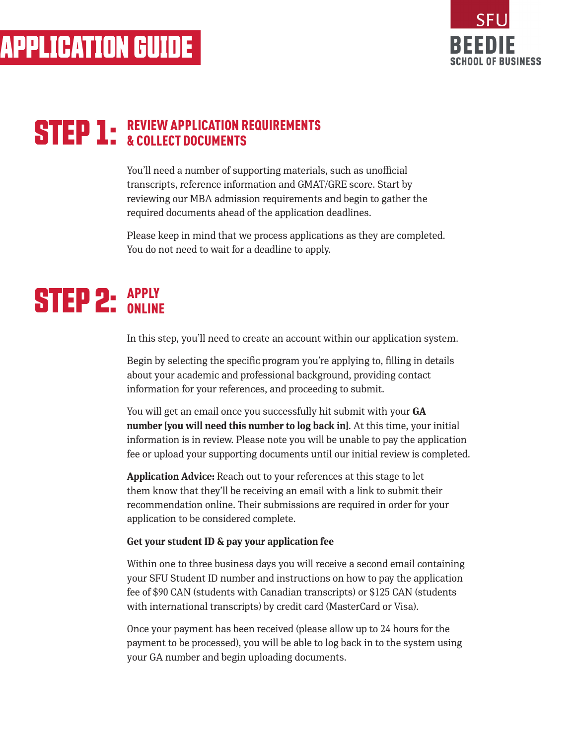

### **STEP 1:** REVIEW APPLICATION REQUIREMENTS & COLLECT DOCUMENTS

You'll need a number of supporting materials, such as unofficial transcripts, reference information and GMAT/GRE score. Start by reviewing our MBA admission requirements and begin to gather the required documents ahead of the application deadlines.

Please keep in mind that we process applications as they are completed. You do not need to wait for a deadline to apply.

### **STEP 2: APPLY ONLINE**

In this step, you'll need to create an account within our application system.

Begin by selecting the specific program you're applying to, filling in details about your academic and professional background, providing contact information for your references, and proceeding to submit.

You will get an email once you successfully hit submit with your **GA number [you will need this number to log back in]**. At this time, your initial information is in review. Please note you will be unable to pay the application fee or upload your supporting documents until our initial review is completed.

**Application Advice:** Reach out to your references at this stage to let them know that they'll be receiving an email with a link to submit their recommendation online. Their submissions are required in order for your application to be considered complete.

#### **Get your student ID & pay your application fee**

Within one to three business days you will receive a second email containing your SFU Student ID number and instructions on how to pay the application fee of \$90 CAN (students with Canadian transcripts) or \$125 CAN (students with international transcripts) by credit card (MasterCard or Visa).

Once your payment has been received (please allow up to 24 hours for the payment to be processed), you will be able to log back in to the system using your GA number and begin uploading documents.